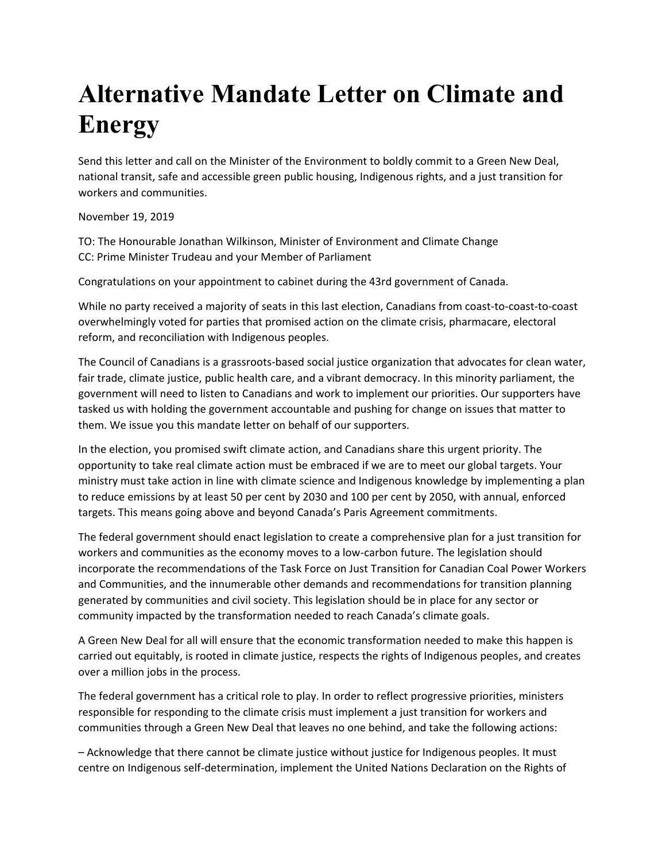## **Alternative Mandate Letter on Climate and Energy**

Send this letter and call on the Minister of the Environment to boldly commit to a Green New Deal, national transit, safe and accessible green public housing, Indigenous rights, and a just transition for workers and communities.

November 19, 2019

TO: The Honourable Jonathan Wilkinson, Minister of Environment and Climate Change CC: Prime Minister Trudeau and your Member of Parliament

Congratulations on your appointment to cabinet during the 43rd government of Canada.

While no party received a majority of seats in this last election, Canadians from coast-to-coast-to-coast overwhelmingly voted for parties that promised action on the climate crisis, pharmacare, electoral reform, and reconciliation with Indigenous peoples.

The Council of Canadians is a grassroots-based social justice organization that advocates for clean water, fair trade, climate justice, public health care, and a vibrant democracy. In this minority parliament, the government will need to listen to Canadians and work to implement our priorities. Our supporters have tasked us with holding the government accountable and pushing for change on issues that matter to them. We issue you this mandate letter on behalf of our supporters.

In the election, you promised swift climate action, and Canadians share this urgent priority. The opportunity to take real climate action must be embraced if we are to meet our global targets. Your ministry must take action in line with climate science and Indigenous knowledge by implementing a plan to reduce emissions by at least 50 per cent by 2030 and 100 per cent by 2050, with annual, enforced targets. This means going above and beyond Canada's Paris Agreement commitments.

The federal government should enact legislation to create a comprehensive plan for a just transition for workers and communities as the economy moves to a low-carbon future. The legislation should incorporate the recommendations of the Task Force on Just Transition for Canadian Coal Power Workers and Communities, and the innumerable other demands and recommendations for transition planning generated by communities and civil society. This legislation should be in place for any sector or community impacted by the transformation needed to reach Canada's climate goals.

A Green New Deal for all will ensure that the economic transformation needed to make this happen is carried out equitably, is rooted in climate justice, respects the rights of Indigenous peoples, and creates over a million jobs in the process.

The federal government has a critical role to play. In order to reflect progressive priorities, ministers responsible for responding to the climate crisis must implement a just transition for workers and communities through a Green New Deal that leaves no one behind, and take the following actions:

– Acknowledge that there cannot be climate justice without justice for Indigenous peoples. It must centre on Indigenous self-determination, implement the United Nations Declaration on the Rights of